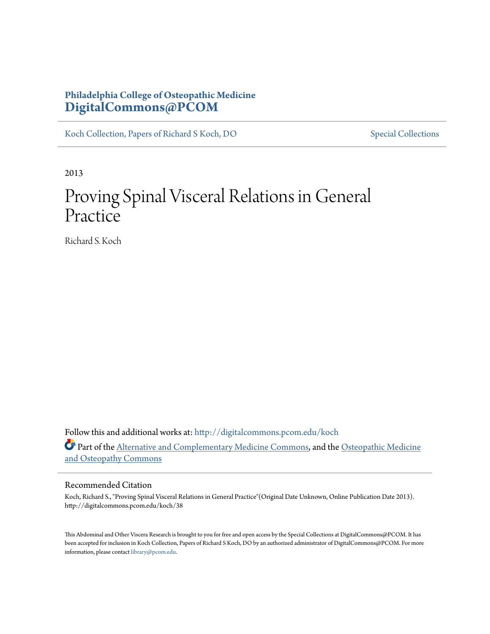## **Philadelphia College of Osteopathic Medicine [DigitalCommons@PCOM](http://digitalcommons.pcom.edu?utm_source=digitalcommons.pcom.edu%2Fkoch%2F38&utm_medium=PDF&utm_campaign=PDFCoverPages)**

[Koch Collection, Papers of Richard S Koch, DO](http://digitalcommons.pcom.edu/koch?utm_source=digitalcommons.pcom.edu%2Fkoch%2F38&utm_medium=PDF&utm_campaign=PDFCoverPages) [Special Collections](http://digitalcommons.pcom.edu/special_collections?utm_source=digitalcommons.pcom.edu%2Fkoch%2F38&utm_medium=PDF&utm_campaign=PDFCoverPages)

2013

## Proving Spinal Visceral Relations in General Practice

Richard S. Koch

Follow this and additional works at: [http://digitalcommons.pcom.edu/koch](http://digitalcommons.pcom.edu/koch?utm_source=digitalcommons.pcom.edu%2Fkoch%2F38&utm_medium=PDF&utm_campaign=PDFCoverPages) Part of the **Alternative and Complementary Medicine Commons**, and the [Osteopathic Medicine](http://network.bepress.com/hgg/discipline/697?utm_source=digitalcommons.pcom.edu%2Fkoch%2F38&utm_medium=PDF&utm_campaign=PDFCoverPages) [and Osteopathy Commons](http://network.bepress.com/hgg/discipline/697?utm_source=digitalcommons.pcom.edu%2Fkoch%2F38&utm_medium=PDF&utm_campaign=PDFCoverPages)

## Recommended Citation

Koch, Richard S., "Proving Spinal Visceral Relations in General Practice"(Original Date Unknown, Online Publication Date 2013). http://digitalcommons.pcom.edu/koch/38

This Abdominal and Other Viscera Research is brought to you for free and open access by the Special Collections at DigitalCommons@PCOM. It has been accepted for inclusion in Koch Collection, Papers of Richard S Koch, DO by an authorized administrator of DigitalCommons@PCOM. For more information, please contact [library@pcom.edu.](mailto:library@pcom.edu)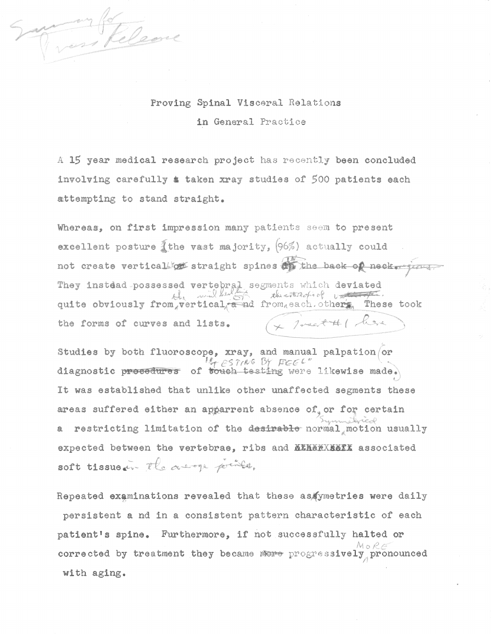Clean

## Proving Spinal Visceral Relations in General Practice

A 15 year medical research project has recently been concluded involving carefully & taken xray studies of 500 patients each attempting to stand straight.

Whereas, on first impression many patients seem to present excellent posture  $\tilde{A}$ the vast majority, (96%) actually could not create verticalize straight spines at the back of neck-your They instead possessed vertebral segments which deviated<br>the segments which deviated<br>quite obviously from vertical and from each others These took + 1 mail #1 leve the forms of curves and lists.

Studies by both fluoroscope,  $xray$ , and manual palpation/or It ESTING BY FEEL" diagnostic procedures of touch testing were likewise made. It was established that unlike other unaffected segments these areas suffered either an apparrent absence of or for certain a restricting limitation of the desirable normal motion usually expected between the vertebrae, ribs and **ATHERXIATI** associated soft tissue in the away prints,

Repeated examinations revealed that these as (ymetries were daily persistent a nd in a consistent pattern characteristic of each patient's spine. Furthermore, if not successfully halted or corrected by treatment they became more progressively pronounced with aging.